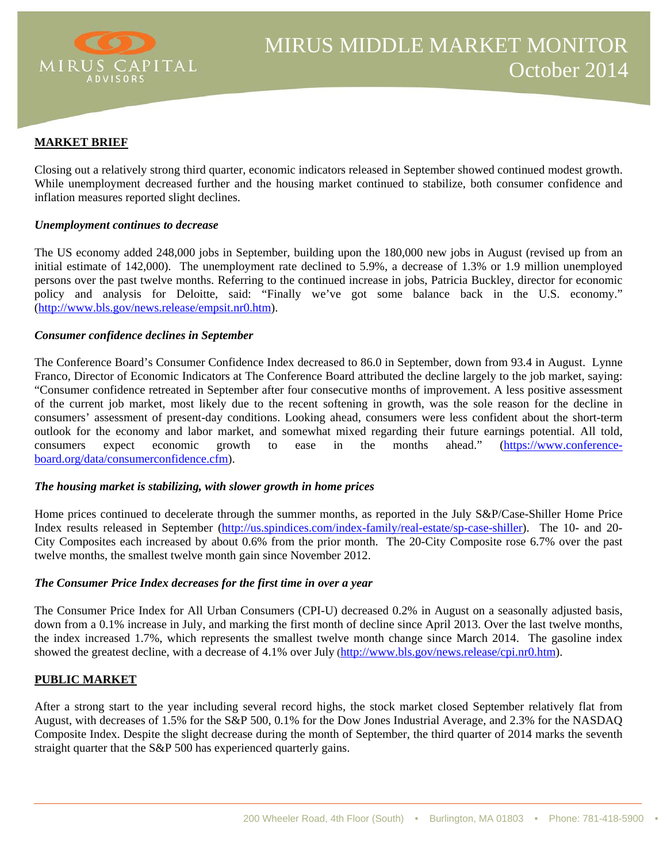

#### **MARKET BRIEF**

Closing out a relatively strong third quarter, economic indicators released in September showed continued modest growth. While unemployment decreased further and the housing market continued to stabilize, both consumer confidence and inflation measures reported slight declines.

#### *Unemployment continues to decrease*

The US economy added 248,000 jobs in September, building upon the 180,000 new jobs in August (revised up from an initial estimate of 142,000). The unemployment rate declined to 5.9%, a decrease of 1.3% or 1.9 million unemployed persons over the past twelve months. Referring to the continued increase in jobs, Patricia Buckley, director for economic policy and analysis for Deloitte, said: "Finally we've got some balance back in the U.S. economy." (http://www.bls.gov/news.release/empsit.nr0.htm).

#### *Consumer confidence declines in September*

The Conference Board's Consumer Confidence Index decreased to 86.0 in September, down from 93.4 in August. Lynne Franco, Director of Economic Indicators at The Conference Board attributed the decline largely to the job market, saying: "Consumer confidence retreated in September after four consecutive months of improvement. A less positive assessment of the current job market, most likely due to the recent softening in growth, was the sole reason for the decline in consumers' assessment of present-day conditions. Looking ahead, consumers were less confident about the short-term outlook for the economy and labor market, and somewhat mixed regarding their future earnings potential. All told, consumers expect economic growth to ease in the months ahead." (https://www.conferenceboard.org/data/consumerconfidence.cfm).

# *The housing market is stabilizing, with slower growth in home prices*

Home prices continued to decelerate through the summer months, as reported in the July S&P/Case-Shiller Home Price Index results released in September (http://us.spindices.com/index-family/real-estate/sp-case-shiller). The 10- and 20- City Composites each increased by about 0.6% from the prior month. The 20-City Composite rose 6.7% over the past twelve months, the smallest twelve month gain since November 2012.

#### *The Consumer Price Index decreases for the first time in over a year*

The Consumer Price Index for All Urban Consumers (CPI-U) decreased 0.2% in August on a seasonally adjusted basis, down from a 0.1% increase in July, and marking the first month of decline since April 2013. Over the last twelve months, the index increased 1.7%, which represents the smallest twelve month change since March 2014. The gasoline index showed the greatest decline, with a decrease of 4.1% over July (http://www.bls.gov/news.release/cpi.nr0.htm).

#### **PUBLIC MARKET**

After a strong start to the year including several record highs, the stock market closed September relatively flat from August, with decreases of 1.5% for the S&P 500, 0.1% for the Dow Jones Industrial Average, and 2.3% for the NASDAQ Composite Index. Despite the slight decrease during the month of September, the third quarter of 2014 marks the seventh straight quarter that the S&P 500 has experienced quarterly gains.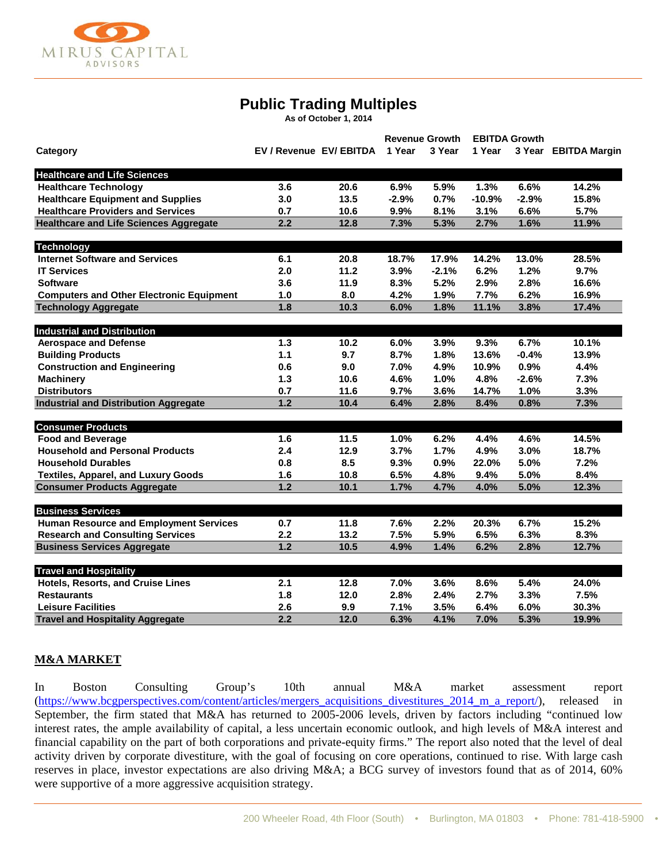

# **Public Trading Multiples**

**As of October 1, 2014**

| Category                                        |                         |      | <b>Revenue Growth</b> |         | <b>EBITDA Growth</b> |         |                      |
|-------------------------------------------------|-------------------------|------|-----------------------|---------|----------------------|---------|----------------------|
|                                                 | EV / Revenue EV/ EBITDA |      | 1 Year                | 3 Year  | 1 Year               |         | 3 Year EBITDA Margin |
| <b>Healthcare and Life Sciences</b>             |                         |      |                       |         |                      |         |                      |
| <b>Healthcare Technology</b>                    | 3.6                     | 20.6 | 6.9%                  | 5.9%    | 1.3%                 | 6.6%    | 14.2%                |
| <b>Healthcare Equipment and Supplies</b>        | 3.0                     | 13.5 | $-2.9%$               | 0.7%    | $-10.9%$             | $-2.9%$ | 15.8%                |
| <b>Healthcare Providers and Services</b>        | 0.7                     | 10.6 | 9.9%                  | 8.1%    | 3.1%                 | 6.6%    | 5.7%                 |
| <b>Healthcare and Life Sciences Aggregate</b>   | 2.2                     | 12.8 | 7.3%                  | 5.3%    | 2.7%                 | 1.6%    | 11.9%                |
| <b>Technology</b>                               |                         |      |                       |         |                      |         |                      |
| <b>Internet Software and Services</b>           | 6.1                     | 20.8 | 18.7%                 | 17.9%   | 14.2%                | 13.0%   | 28.5%                |
| <b>IT Services</b>                              | 2.0                     | 11.2 | 3.9%                  | $-2.1%$ | 6.2%                 | 1.2%    | 9.7%                 |
| <b>Software</b>                                 | 3.6                     | 11.9 | 8.3%                  | 5.2%    | 2.9%                 | 2.8%    | 16.6%                |
| <b>Computers and Other Electronic Equipment</b> | 1.0                     | 8.0  | 4.2%                  | 1.9%    | 7.7%                 | 6.2%    | 16.9%                |
| <b>Technology Aggregate</b>                     | 1.8                     | 10.3 | 6.0%                  | 1.8%    | 11.1%                | 3.8%    | 17.4%                |
| <b>Industrial and Distribution</b>              |                         |      |                       |         |                      |         |                      |
| <b>Aerospace and Defense</b>                    | 1.3                     | 10.2 | 6.0%                  | 3.9%    | 9.3%                 | 6.7%    | 10.1%                |
| <b>Building Products</b>                        | 1.1                     | 9.7  | 8.7%                  | 1.8%    | 13.6%                | $-0.4%$ | 13.9%                |
| <b>Construction and Engineering</b>             | 0.6                     | 9.0  | 7.0%                  | 4.9%    | 10.9%                | 0.9%    | 4.4%                 |
| <b>Machinery</b>                                | 1.3                     | 10.6 | 4.6%                  | 1.0%    | 4.8%                 | $-2.6%$ | 7.3%                 |
| <b>Distributors</b>                             | 0.7                     | 11.6 | 9.7%                  | 3.6%    | 14.7%                | 1.0%    | 3.3%                 |
| <b>Industrial and Distribution Aggregate</b>    | 1.2                     | 10.4 | 6.4%                  | 2.8%    | 8.4%                 | 0.8%    | 7.3%                 |
| <b>Consumer Products</b>                        |                         |      |                       |         |                      |         |                      |
| <b>Food and Beverage</b>                        | 1.6                     | 11.5 | 1.0%                  | 6.2%    | 4.4%                 | 4.6%    | 14.5%                |
| <b>Household and Personal Products</b>          | 2.4                     | 12.9 | 3.7%                  | 1.7%    | 4.9%                 | 3.0%    | 18.7%                |
| <b>Household Durables</b>                       | 0.8                     | 8.5  | 9.3%                  | 0.9%    | 22.0%                | 5.0%    | 7.2%                 |
| <b>Textiles, Apparel, and Luxury Goods</b>      | 1.6                     | 10.8 | 6.5%                  | 4.8%    | 9.4%                 | 5.0%    | 8.4%                 |
| <b>Consumer Products Aggregate</b>              | $1.2$                   | 10.1 | 1.7%                  | 4.7%    | 4.0%                 | 5.0%    | 12.3%                |
| <b>Business Services</b>                        |                         |      |                       |         |                      |         |                      |
| <b>Human Resource and Employment Services</b>   | 0.7                     | 11.8 | 7.6%                  | 2.2%    | 20.3%                | 6.7%    | 15.2%                |
| <b>Research and Consulting Services</b>         | 2.2                     | 13.2 | 7.5%                  | 5.9%    | 6.5%                 | 6.3%    | 8.3%                 |
| <b>Business Services Aggregate</b>              | 1.2                     | 10.5 | 4.9%                  | 1.4%    | 6.2%                 | 2.8%    | 12.7%                |
| <b>Travel and Hospitality</b>                   |                         |      |                       |         |                      |         |                      |
| Hotels, Resorts, and Cruise Lines               | 2.1                     | 12.8 | 7.0%                  | 3.6%    | 8.6%                 | 5.4%    | 24.0%                |
| <b>Restaurants</b>                              | 1.8                     | 12.0 | 2.8%                  | 2.4%    | 2.7%                 | 3.3%    | 7.5%                 |
| <b>Leisure Facilities</b>                       | 2.6                     | 9.9  | 7.1%                  | 3.5%    | 6.4%                 | 6.0%    | 30.3%                |
| <b>Travel and Hospitality Aggregate</b>         | 2.2                     | 12.0 | 6.3%                  | 4.1%    | 7.0%                 | 5.3%    | 19.9%                |

#### **M&A MARKET**

In Boston Consulting Group's 10th annual M&A market assessment report (https://www.bcgperspectives.com/content/articles/mergers\_acquisitions\_divestitures\_2014\_m\_a\_report/), released in September, the firm stated that M&A has returned to 2005-2006 levels, driven by factors including "continued low interest rates, the ample availability of capital, a less uncertain economic outlook, and high levels of M&A interest and financial capability on the part of both corporations and private-equity firms." The report also noted that the level of deal activity driven by corporate divestiture, with the goal of focusing on core operations, continued to rise. With large cash reserves in place, investor expectations are also driving M&A; a BCG survey of investors found that as of 2014, 60% were supportive of a more aggressive acquisition strategy.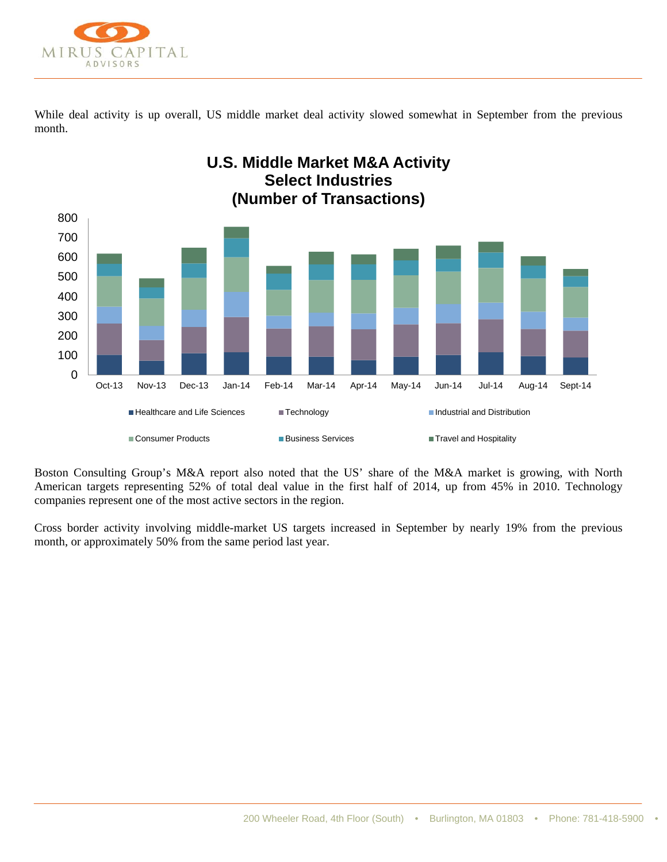

While deal activity is up overall, US middle market deal activity slowed somewhat in September from the previous month.



Boston Consulting Group's M&A report also noted that the US' share of the M&A market is growing, with North American targets representing 52% of total deal value in the first half of 2014, up from 45% in 2010. Technology companies represent one of the most active sectors in the region.

Cross border activity involving middle-market US targets increased in September by nearly 19% from the previous month, or approximately 50% from the same period last year.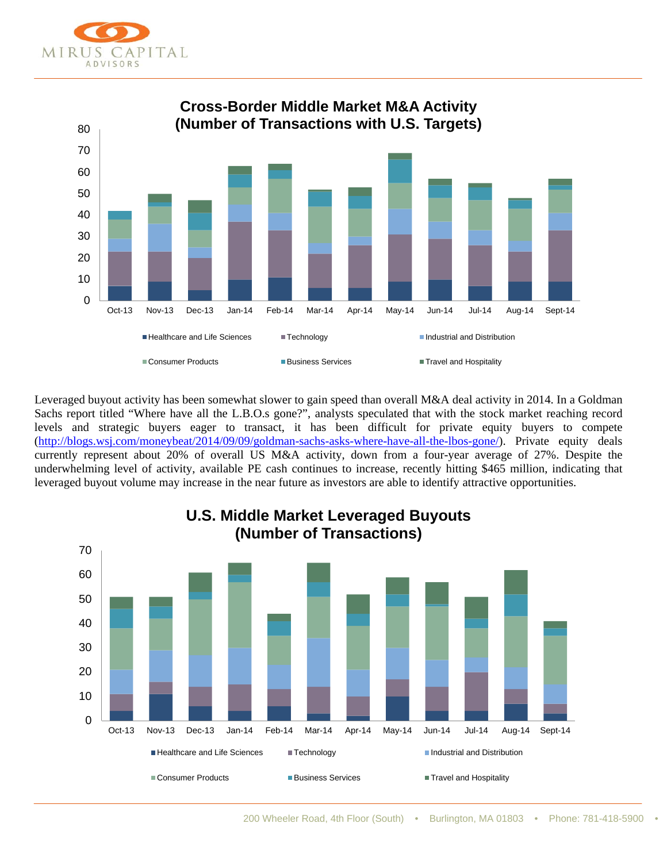



Leveraged buyout activity has been somewhat slower to gain speed than overall M&A deal activity in 2014. In a Goldman Sachs report titled "Where have all the L.B.O.s gone?", analysts speculated that with the stock market reaching record levels and strategic buyers eager to transact, it has been difficult for private equity buyers to compete (http://blogs.wsj.com/moneybeat/2014/09/09/goldman-sachs-asks-where-have-all-the-lbos-gone/). Private equity deals currently represent about 20% of overall US M&A activity, down from a four-year average of 27%. Despite the underwhelming level of activity, available PE cash continues to increase, recently hitting \$465 million, indicating that leveraged buyout volume may increase in the near future as investors are able to identify attractive opportunities.



200 Wheeler Road, 4th Floor (South) • Burlington, MA 01803 • Phone: 781-418-5900 •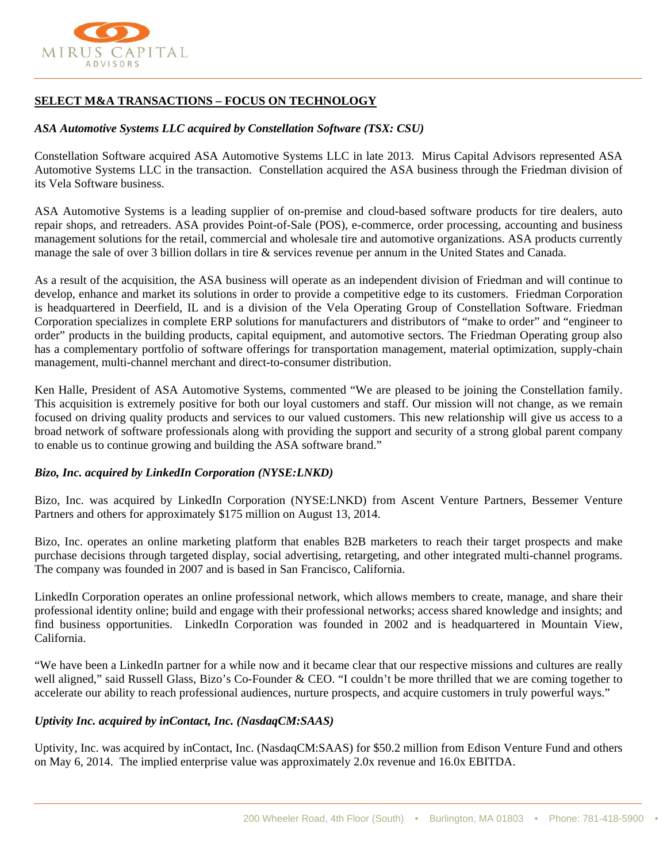

# **SELECT M&A TRANSACTIONS – FOCUS ON TECHNOLOGY**

## *ASA Automotive Systems LLC acquired by Constellation Software (TSX: CSU)*

Constellation Software acquired ASA Automotive Systems LLC in late 2013. Mirus Capital Advisors represented ASA Automotive Systems LLC in the transaction. Constellation acquired the ASA business through the Friedman division of its Vela Software business.

ASA Automotive Systems is a leading supplier of on-premise and cloud-based software products for tire dealers, auto repair shops, and retreaders. ASA provides Point-of-Sale (POS), e-commerce, order processing, accounting and business management solutions for the retail, commercial and wholesale tire and automotive organizations. ASA products currently manage the sale of over 3 billion dollars in tire & services revenue per annum in the United States and Canada.

As a result of the acquisition, the ASA business will operate as an independent division of Friedman and will continue to develop, enhance and market its solutions in order to provide a competitive edge to its customers. Friedman Corporation is headquartered in Deerfield, IL and is a division of the Vela Operating Group of Constellation Software. Friedman Corporation specializes in complete ERP solutions for manufacturers and distributors of "make to order" and "engineer to order" products in the building products, capital equipment, and automotive sectors. The Friedman Operating group also has a complementary portfolio of software offerings for transportation management, material optimization, supply-chain management, multi-channel merchant and direct-to-consumer distribution.

Ken Halle, President of ASA Automotive Systems, commented "We are pleased to be joining the Constellation family. This acquisition is extremely positive for both our loyal customers and staff. Our mission will not change, as we remain focused on driving quality products and services to our valued customers. This new relationship will give us access to a broad network of software professionals along with providing the support and security of a strong global parent company to enable us to continue growing and building the ASA software brand."

## *Bizo, Inc. acquired by LinkedIn Corporation (NYSE:LNKD)*

Bizo, Inc. was acquired by LinkedIn Corporation (NYSE:LNKD) from Ascent Venture Partners, Bessemer Venture Partners and others for approximately \$175 million on August 13, 2014.

Bizo, Inc. operates an online marketing platform that enables B2B marketers to reach their target prospects and make purchase decisions through targeted display, social advertising, retargeting, and other integrated multi-channel programs. The company was founded in 2007 and is based in San Francisco, California.

LinkedIn Corporation operates an online professional network, which allows members to create, manage, and share their professional identity online; build and engage with their professional networks; access shared knowledge and insights; and find business opportunities. LinkedIn Corporation was founded in 2002 and is headquartered in Mountain View, California.

"We have been a LinkedIn partner for a while now and it became clear that our respective missions and cultures are really well aligned," said Russell Glass, Bizo's Co-Founder & CEO. "I couldn't be more thrilled that we are coming together to accelerate our ability to reach professional audiences, nurture prospects, and acquire customers in truly powerful ways."

## *Uptivity Inc. acquired by inContact, Inc. (NasdaqCM:SAAS)*

Uptivity, Inc. was acquired by inContact, Inc. (NasdaqCM:SAAS) for \$50.2 million from Edison Venture Fund and others on May 6, 2014. The implied enterprise value was approximately 2.0x revenue and 16.0x EBITDA.